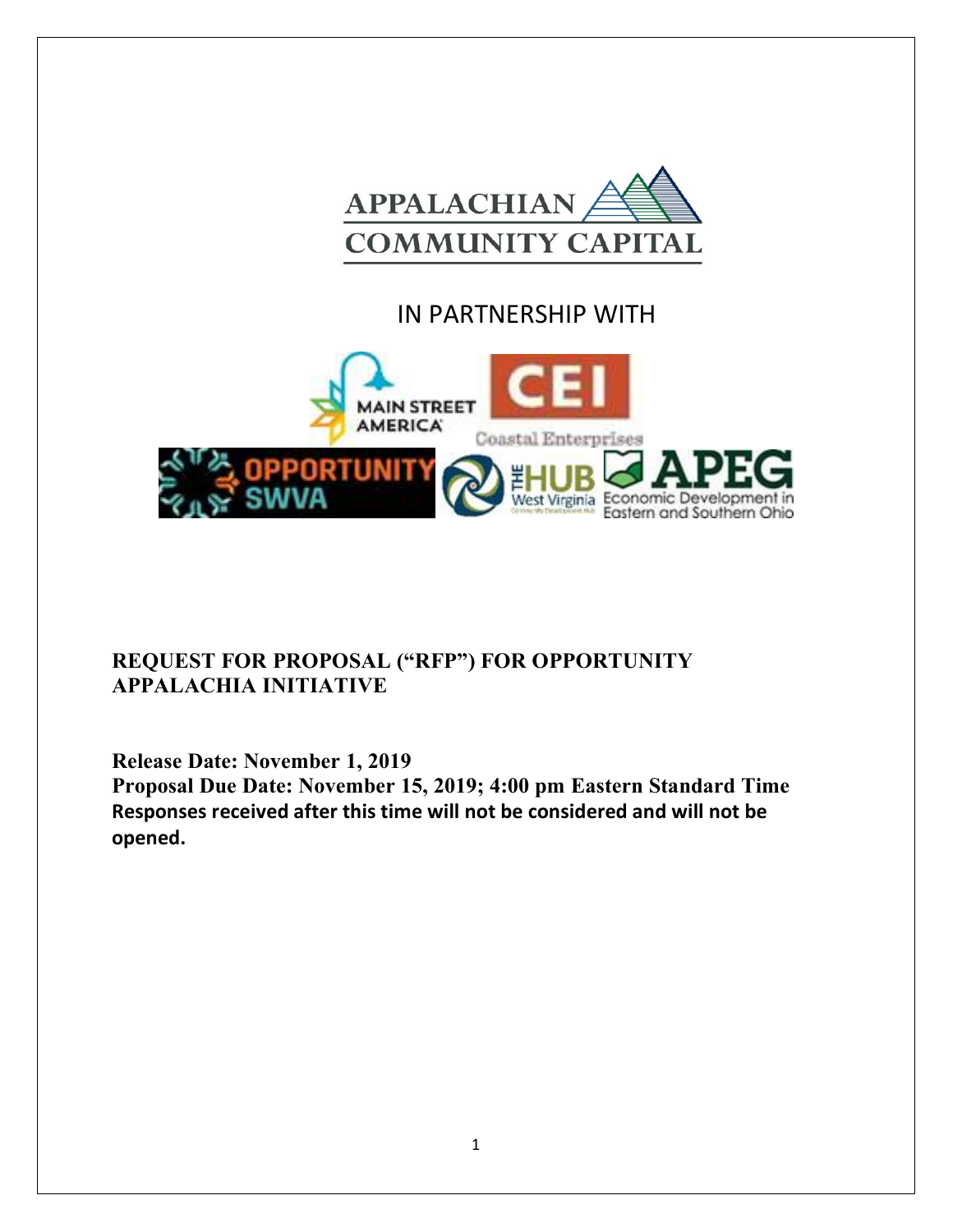

# IN PARTNERSHIP WITH



## **REQUEST FOR PROPOSAL ("RFP") FOR OPPORTUNITY APPALACHIA INITIATIVE**

**Release Date: November 1, 2019** 

**Proposal Due Date: November 15, 2019; 4:00 pm Eastern Standard Time Responses received after this time will not be considered and will not be opened.**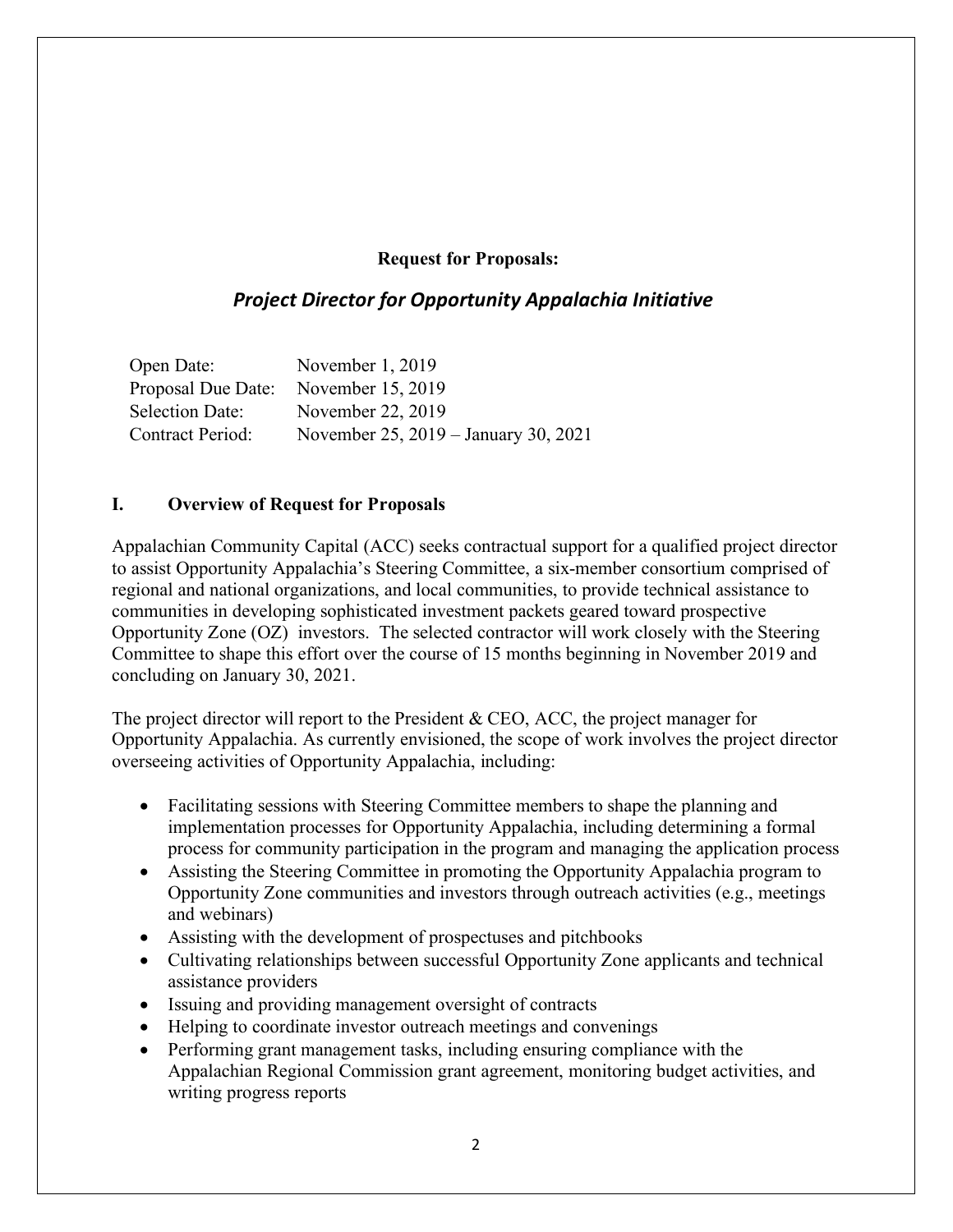#### **Request for Proposals:**

## *Project Director for Opportunity Appalachia Initiative*

| Open Date:             | November 1, 2019                     |
|------------------------|--------------------------------------|
| Proposal Due Date:     | November 15, 2019                    |
| <b>Selection Date:</b> | November 22, 2019                    |
| Contract Period:       | November 25, 2019 – January 30, 2021 |

#### **I. Overview of Request for Proposals**

Appalachian Community Capital (ACC) seeks contractual support for a qualified project director to assist Opportunity Appalachia's Steering Committee, a six-member consortium comprised of regional and national organizations, and local communities, to provide technical assistance to communities in developing sophisticated investment packets geared toward prospective Opportunity Zone (OZ) investors. The selected contractor will work closely with the Steering Committee to shape this effort over the course of 15 months beginning in November 2019 and concluding on January 30, 2021.

The project director will report to the President & CEO, ACC, the project manager for Opportunity Appalachia. As currently envisioned, the scope of work involves the project director overseeing activities of Opportunity Appalachia, including:

- Facilitating sessions with Steering Committee members to shape the planning and implementation processes for Opportunity Appalachia, including determining a formal process for community participation in the program and managing the application process
- Assisting the Steering Committee in promoting the Opportunity Appalachia program to Opportunity Zone communities and investors through outreach activities (e.g., meetings and webinars)
- Assisting with the development of prospectuses and pitchbooks
- Cultivating relationships between successful Opportunity Zone applicants and technical assistance providers
- Issuing and providing management oversight of contracts
- Helping to coordinate investor outreach meetings and convenings
- Performing grant management tasks, including ensuring compliance with the Appalachian Regional Commission grant agreement, monitoring budget activities, and writing progress reports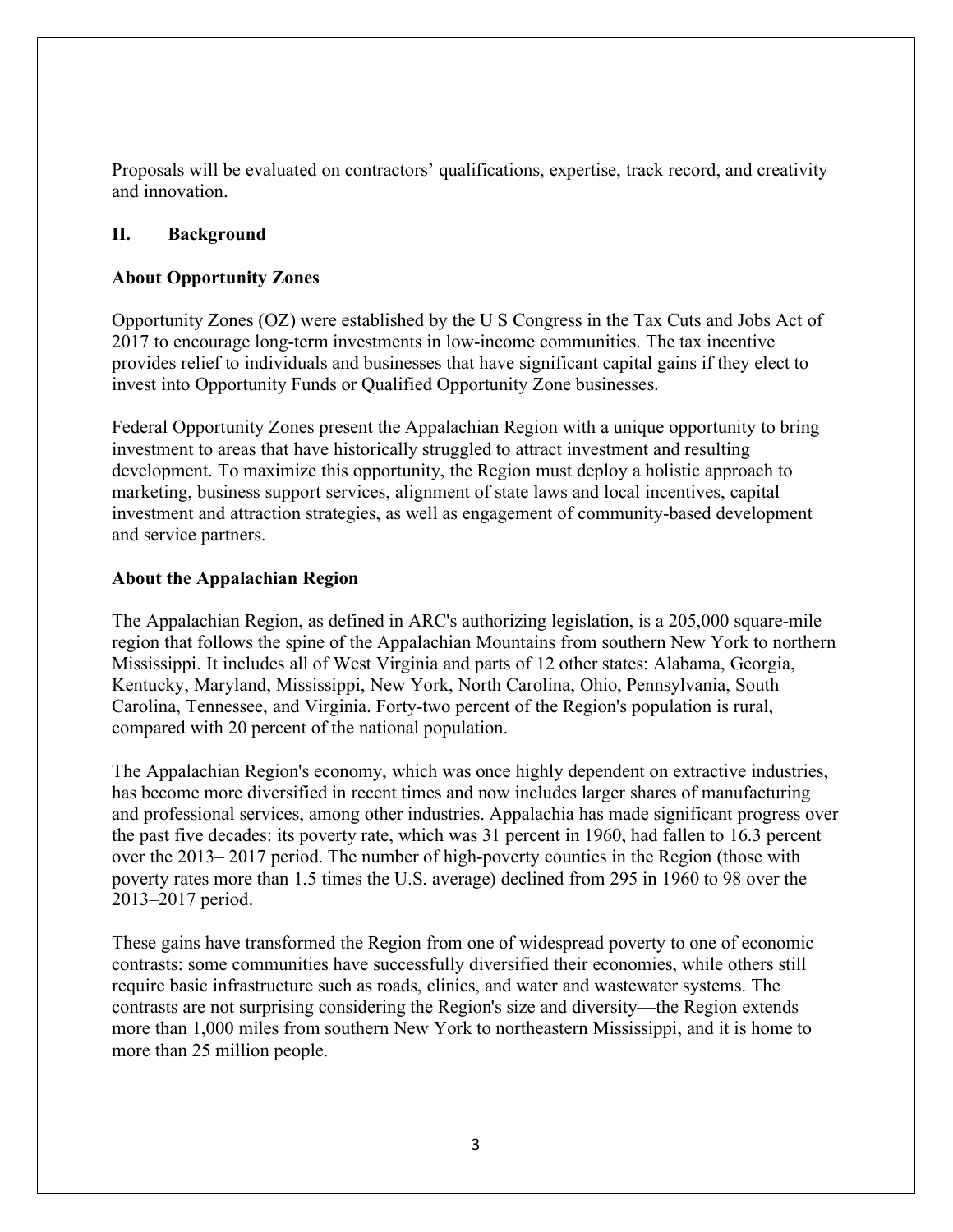Proposals will be evaluated on contractors' qualifications, expertise, track record, and creativity and innovation.

#### **II. Background**

#### **About Opportunity Zones**

Opportunity Zones (OZ) were established by the U S Congress in the Tax Cuts and Jobs Act of 2017 to encourage long-term investments in low-income communities. The tax incentive provides relief to individuals and businesses that have significant capital gains if they elect to invest into Opportunity Funds or Qualified Opportunity Zone businesses.

Federal Opportunity Zones present the Appalachian Region with a unique opportunity to bring investment to areas that have historically struggled to attract investment and resulting development. To maximize this opportunity, the Region must deploy a holistic approach to marketing, business support services, alignment of state laws and local incentives, capital investment and attraction strategies, as well as engagement of community-based development and service partners.

#### **About the Appalachian Region**

The Appalachian Region, as defined in ARC's authorizing legislation, is a 205,000 square-mile region that follows the spine of the Appalachian Mountains from southern New York to northern Mississippi. It includes all of West Virginia and parts of 12 other states: Alabama, Georgia, Kentucky, Maryland, Mississippi, New York, North Carolina, Ohio, Pennsylvania, South Carolina, Tennessee, and Virginia. Forty-two percent of the Region's population is rural, compared with 20 percent of the national population.

The Appalachian Region's economy, which was once highly dependent on extractive industries, has become more diversified in recent times and now includes larger shares of manufacturing and professional services, among other industries. Appalachia has made significant progress over the past five decades: its poverty rate, which was 31 percent in 1960, had fallen to 16.3 percent over the 2013– 2017 period. The number of high-poverty counties in the Region (those with poverty rates more than 1.5 times the U.S. average) declined from 295 in 1960 to 98 over the 2013–2017 period.

These gains have transformed the Region from one of widespread poverty to one of economic contrasts: some communities have successfully diversified their economies, while others still require basic infrastructure such as roads, clinics, and water and wastewater systems. The contrasts are not surprising considering the Region's size and diversity—the Region extends more than 1,000 miles from southern New York to northeastern Mississippi, and it is home to more than 25 million people.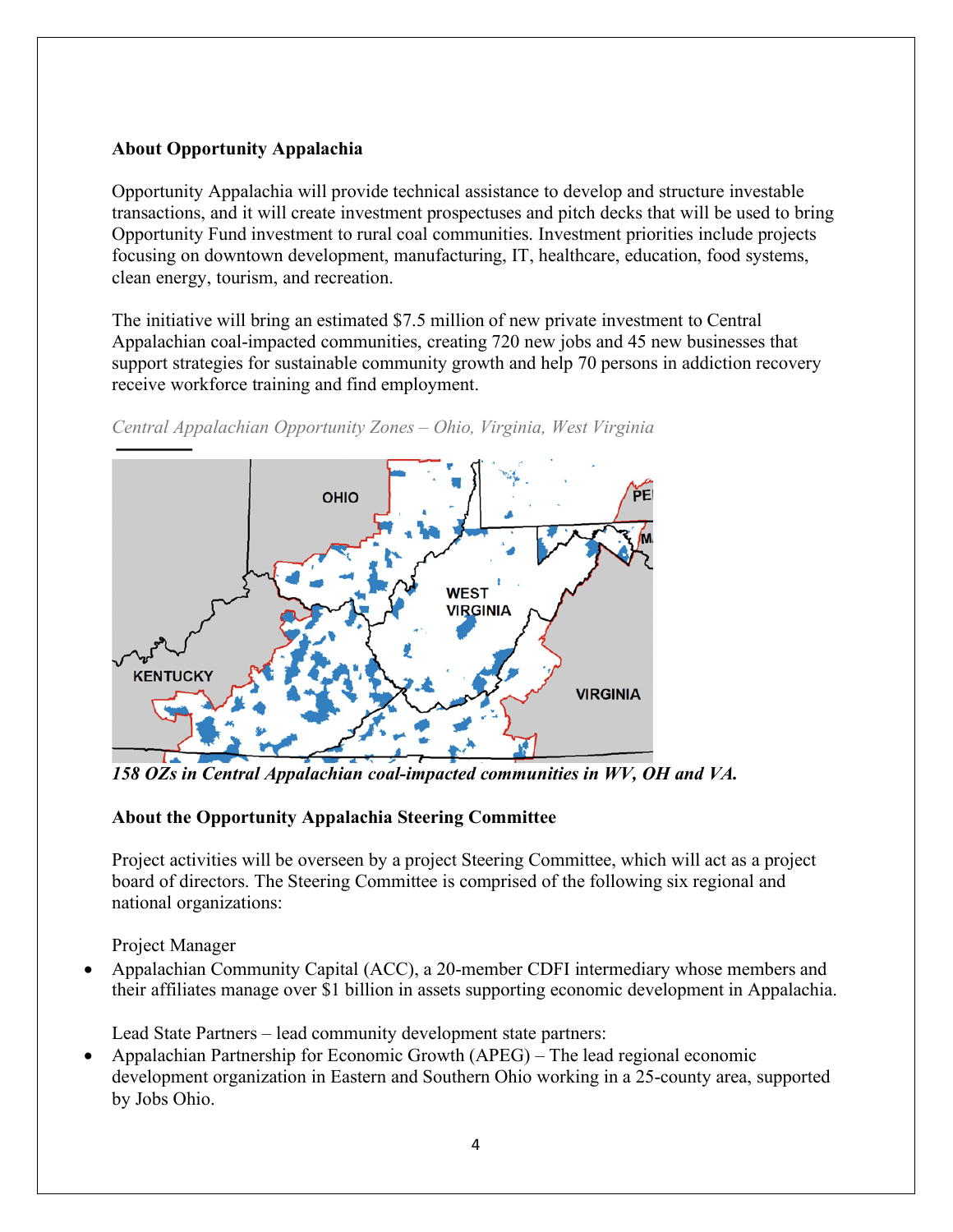## **About Opportunity Appalachia**

Opportunity Appalachia will provide technical assistance to develop and structure investable transactions, and it will create investment prospectuses and pitch decks that will be used to bring Opportunity Fund investment to rural coal communities. Investment priorities include projects focusing on downtown development, manufacturing, IT, healthcare, education, food systems, clean energy, tourism, and recreation.

The initiative will bring an estimated \$7.5 million of new private investment to Central Appalachian coal-impacted communities, creating 720 new jobs and 45 new businesses that support strategies for sustainable community growth and help 70 persons in addiction recovery receive workforce training and find employment.



*Central Appalachian Opportunity Zones – Ohio, Virginia, West Virginia*

*158 OZs in Central Appalachian coal-impacted communities in WV, OH and VA.*

## **About the Opportunity Appalachia Steering Committee**

Project activities will be overseen by a project Steering Committee, which will act as a project board of directors. The Steering Committee is comprised of the following six regional and national organizations:

Project Manager

• Appalachian Community Capital (ACC), a 20-member CDFI intermediary whose members and their affiliates manage over \$1 billion in assets supporting economic development in Appalachia.

Lead State Partners – lead community development state partners:

• Appalachian Partnership for Economic Growth (APEG) – The lead regional economic development organization in Eastern and Southern Ohio working in a 25-county area, supported by Jobs Ohio.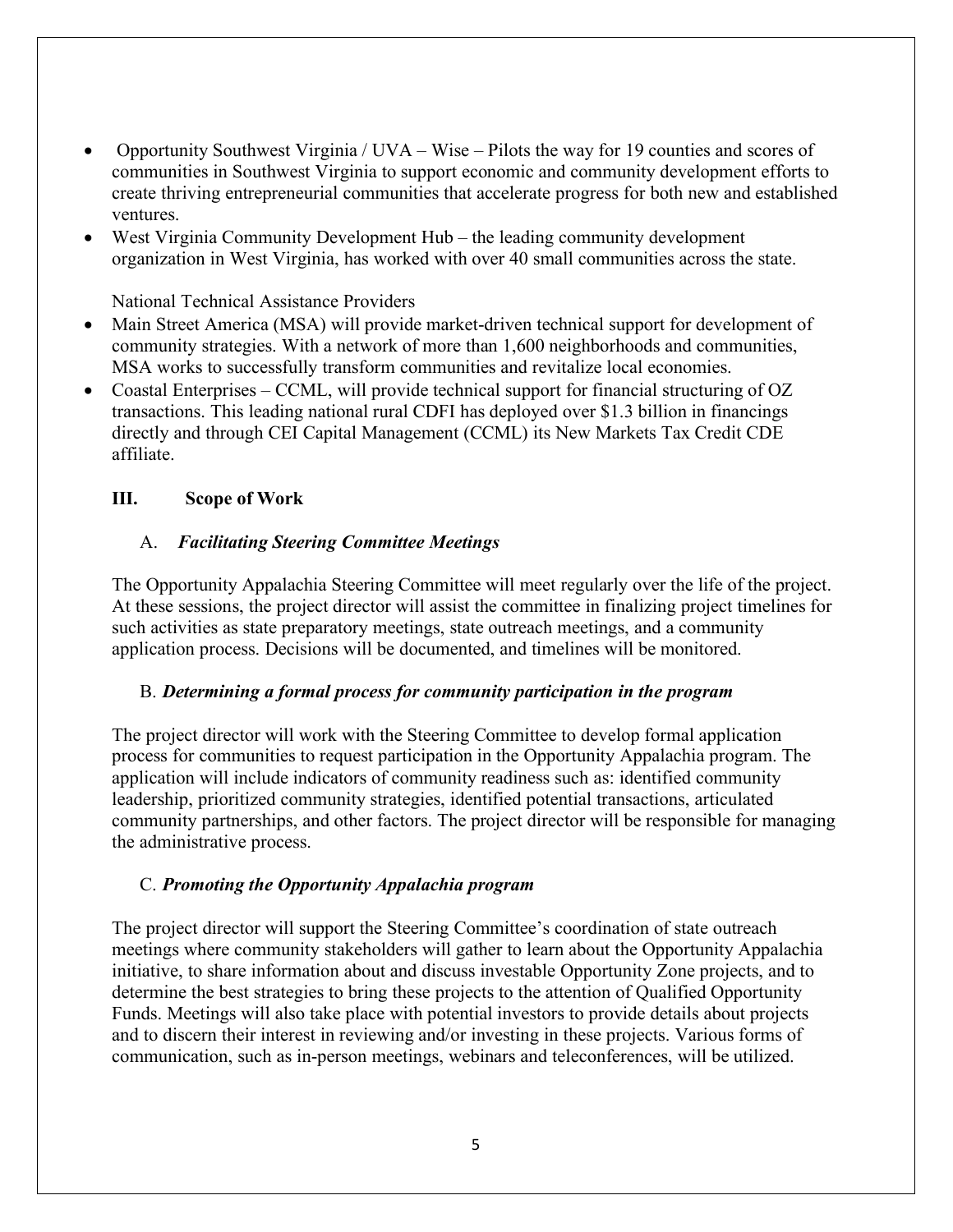- Opportunity Southwest Virginia / UVA Wise Pilots the way for 19 counties and scores of communities in Southwest Virginia to support economic and community development efforts to create thriving entrepreneurial communities that accelerate progress for both new and established ventures.
- West Virginia Community Development Hub the leading community development organization in West Virginia, has worked with over 40 small communities across the state.

#### National Technical Assistance Providers

- Main Street America (MSA) will provide market-driven technical support for development of community strategies. With a network of more than 1,600 neighborhoods and communities, MSA works to successfully transform communities and revitalize local economies.
- Coastal Enterprises CCML, will provide technical support for financial structuring of OZ transactions. This leading national rural CDFI has deployed over \$1.3 billion in financings directly and through CEI Capital Management (CCML) its New Markets Tax Credit CDE affiliate.

#### **III. Scope of Work**

#### A. *Facilitating Steering Committee Meetings*

The Opportunity Appalachia Steering Committee will meet regularly over the life of the project. At these sessions, the project director will assist the committee in finalizing project timelines for such activities as state preparatory meetings, state outreach meetings, and a community application process. Decisions will be documented, and timelines will be monitored.

#### B. *Determining a formal process for community participation in the program*

The project director will work with the Steering Committee to develop formal application process for communities to request participation in the Opportunity Appalachia program. The application will include indicators of community readiness such as: identified community leadership, prioritized community strategies, identified potential transactions, articulated community partnerships, and other factors. The project director will be responsible for managing the administrative process.

#### C. *Promoting the Opportunity Appalachia program*

The project director will support the Steering Committee's coordination of state outreach meetings where community stakeholders will gather to learn about the Opportunity Appalachia initiative, to share information about and discuss investable Opportunity Zone projects, and to determine the best strategies to bring these projects to the attention of Qualified Opportunity Funds. Meetings will also take place with potential investors to provide details about projects and to discern their interest in reviewing and/or investing in these projects. Various forms of communication, such as in-person meetings, webinars and teleconferences, will be utilized.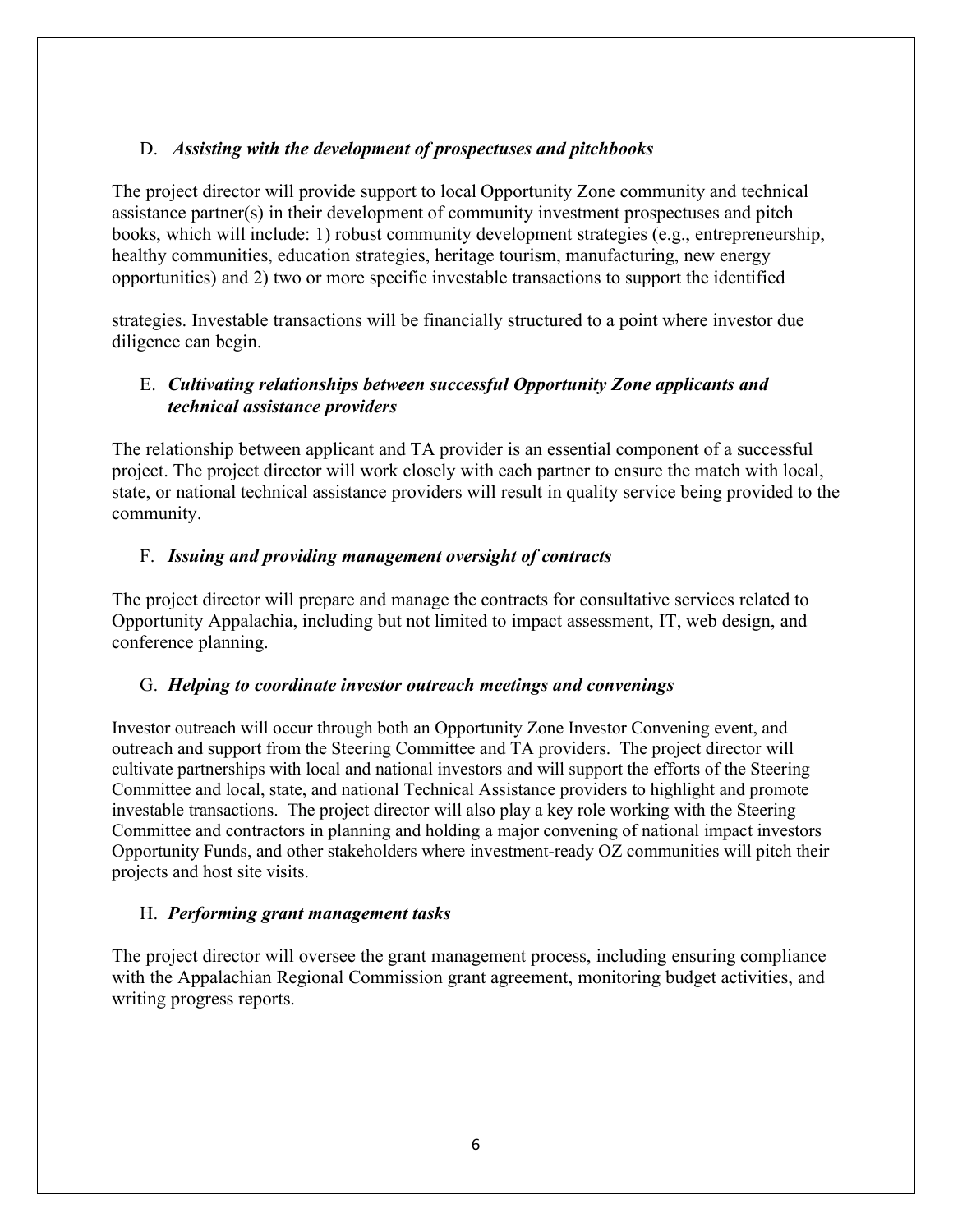## D. *Assisting with the development of prospectuses and pitchbooks*

The project director will provide support to local Opportunity Zone community and technical assistance partner(s) in their development of community investment prospectuses and pitch books, which will include: 1) robust community development strategies (e.g., entrepreneurship, healthy communities, education strategies, heritage tourism, manufacturing, new energy opportunities) and 2) two or more specific investable transactions to support the identified

strategies. Investable transactions will be financially structured to a point where investor due diligence can begin.

## E. *Cultivating relationships between successful Opportunity Zone applicants and technical assistance providers*

The relationship between applicant and TA provider is an essential component of a successful project. The project director will work closely with each partner to ensure the match with local, state, or national technical assistance providers will result in quality service being provided to the community.

## F. *Issuing and providing management oversight of contracts*

The project director will prepare and manage the contracts for consultative services related to Opportunity Appalachia, including but not limited to impact assessment, IT, web design, and conference planning.

## G. *Helping to coordinate investor outreach meetings and convenings*

Investor outreach will occur through both an Opportunity Zone Investor Convening event, and outreach and support from the Steering Committee and TA providers. The project director will cultivate partnerships with local and national investors and will support the efforts of the Steering Committee and local, state, and national Technical Assistance providers to highlight and promote investable transactions. The project director will also play a key role working with the Steering Committee and contractors in planning and holding a major convening of national impact investors Opportunity Funds, and other stakeholders where investment-ready OZ communities will pitch their projects and host site visits.

## H. *Performing grant management tasks*

The project director will oversee the grant management process, including ensuring compliance with the Appalachian Regional Commission grant agreement, monitoring budget activities, and writing progress reports.